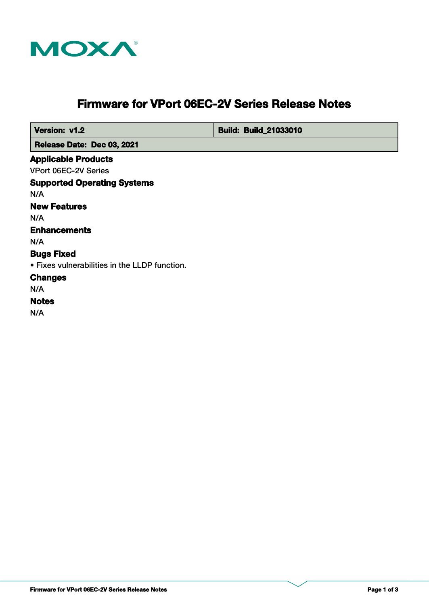

# **Firmware for VPort 06EC-2V Series Release Notes**

 **Version: v1.2 Build: Build: Build: 21033010** 

 **Release Date: Dec 03, 2021**

### **Applicable Products**

VPort 06EC-2V Series

**Supported Operating Systems Notes Changes Bugs Fixed** N/A • Fixes vulnerabilities in the LLDP function. **Enhancements** N/A N/A **New Features** N/A

N/A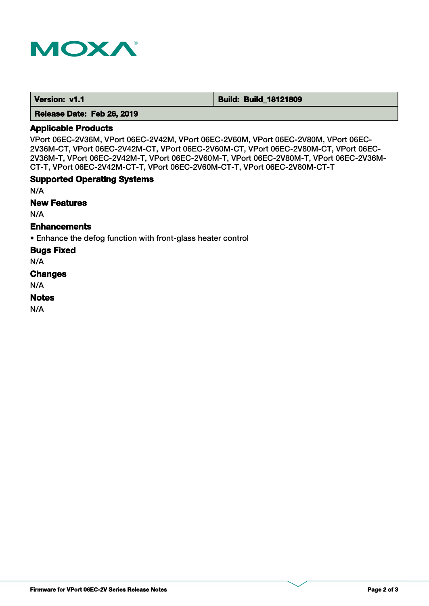

 **Version: v1.1 1.1 Build: Build: Build: 18121809** 

 **Release Date: Feb 26, 2019**

### **Applicable Products**

VPort 06EC-2V36M, VPort 06EC-2V42M, VPort 06EC-2V60M, VPort 06EC-2V80M, VPort 06EC-2V36M-CT, VPort 06EC-2V42M-CT, VPort 06EC-2V60M-CT, VPort 06EC-2V80M-CT, VPort 06EC-2V36M-T, VPort 06EC-2V42M-T, VPort 06EC-2V60M-T, VPort 06EC-2V80M-T, VPort 06EC-2V36M-CT-T, VPort 06EC-2V42M-CT-T, VPort 06EC-2V60M-CT-T, VPort 06EC-2V80M-CT-T

### **Supported Operating Systems**

N/A

**New Features**

N/A

### **Enhancements**

• Enhance the defog function with front-glass heater control

**Bugs Fixed**

N/A

#### **Changes**

N/A

#### **Notes**

N/A